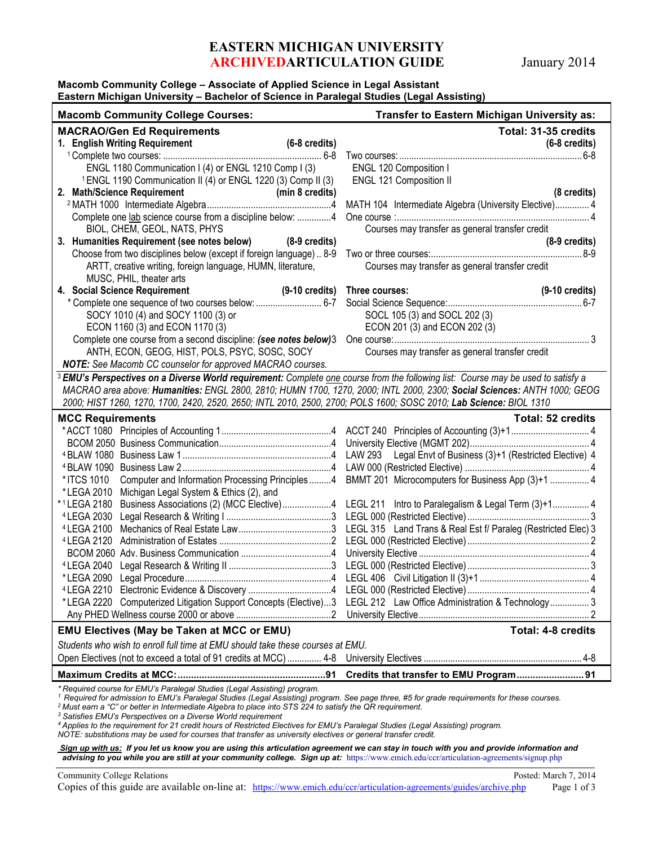# **EASTERN MICHIGAN UNIVERSITY ARCHIVEDARTICULATION GUIDE** January 2014

### **Macomb Community College – Associate of Applied Science in Legal Assistant Eastern Michigan University – Bachelor of Science in Paralegal Studies (Legal Assisting)**

| <b>Macomb Community College Courses:</b>                                                                                                                                                                                                                                      | Transfer to Eastern Michigan University as:                                                        |
|-------------------------------------------------------------------------------------------------------------------------------------------------------------------------------------------------------------------------------------------------------------------------------|----------------------------------------------------------------------------------------------------|
| <b>MACRAO/Gen Ed Requirements</b>                                                                                                                                                                                                                                             | Total: 31-35 credits                                                                               |
| 1. English Writing Requirement<br>$(6-8 \text{ credits})$                                                                                                                                                                                                                     | $(6-8 \text{ credits})$                                                                            |
|                                                                                                                                                                                                                                                                               |                                                                                                    |
| ENGL 1180 Communication I (4) or ENGL 1210 Comp I (3)                                                                                                                                                                                                                         | ENGL 120 Composition I                                                                             |
| <sup>1</sup> ENGL 1190 Communication II (4) or ENGL 1220 (3) Comp II (3)                                                                                                                                                                                                      | ENGL 121 Composition II                                                                            |
| 2. Math/Science Requirement                                                                                                                                                                                                                                                   | (8 credits)                                                                                        |
|                                                                                                                                                                                                                                                                               | MATH 104 Intermediate Algebra (University Elective) 4                                              |
| Complete one lab science course from a discipline below: 4                                                                                                                                                                                                                    |                                                                                                    |
| BIOL, CHEM, GEOL, NATS, PHYS                                                                                                                                                                                                                                                  | Courses may transfer as general transfer credit                                                    |
| 3. Humanities Requirement (see notes below) (8-9 credits)                                                                                                                                                                                                                     | $(8-9 \text{ credits})$                                                                            |
| Choose from two disciplines below (except if foreign language) 8-9                                                                                                                                                                                                            |                                                                                                    |
| ARTT, creative writing, foreign language, HUMN, literature,<br>MUSC, PHIL, theater arts                                                                                                                                                                                       | Courses may transfer as general transfer credit                                                    |
| 4. Social Science Requirement                                                                                                                                                                                                                                                 | (9-10 credits) Three courses:<br>$(9-10 \text{ credits})$                                          |
|                                                                                                                                                                                                                                                                               |                                                                                                    |
| SOCY 1010 (4) and SOCY 1100 (3) or                                                                                                                                                                                                                                            | SOCL 105 (3) and SOCL 202 (3)                                                                      |
| ECON 1160 (3) and ECON 1170 (3)                                                                                                                                                                                                                                               | ECON 201 (3) and ECON 202 (3)                                                                      |
| Complete one course from a second discipline: (see notes below)3                                                                                                                                                                                                              |                                                                                                    |
| ANTH, ECON, GEOG, HIST, POLS, PSYC, SOSC, SOCY                                                                                                                                                                                                                                | Courses may transfer as general transfer credit                                                    |
| NOTE: See Macomb CC counselor for approved MACRAO courses.                                                                                                                                                                                                                    |                                                                                                    |
| <sup>3</sup> EMU's Perspectives on a Diverse World requirement: Complete one course from the following list: Course may be used to satisfy a                                                                                                                                  |                                                                                                    |
| MACRAO area above: Humanities: ENGL 2800, 2810; HUMN 1700, 1270, 2000; INTL 2000, 2300; Social Sciences: ANTH 1000; GEOG                                                                                                                                                      |                                                                                                    |
| 2000; HIST 1260, 1270, 1700, 2420, 2520, 2650; INTL 2010, 2500, 2700; POLS 1600; SOSC 2010; Lab Science: BIOL 1310                                                                                                                                                            |                                                                                                    |
| <b>MCC Requirements</b>                                                                                                                                                                                                                                                       | <b>Total: 52 credits</b>                                                                           |
|                                                                                                                                                                                                                                                                               |                                                                                                    |
|                                                                                                                                                                                                                                                                               |                                                                                                    |
|                                                                                                                                                                                                                                                                               |                                                                                                    |
|                                                                                                                                                                                                                                                                               |                                                                                                    |
| *ITCS 1010                                                                                                                                                                                                                                                                    | Computer and Information Processing Principles 4 BMMT 201 Microcomputers for Business App (3)+1  4 |
| *LEGA 2010 Michigan Legal System & Ethics (2), and                                                                                                                                                                                                                            |                                                                                                    |
| *1LEGA 2180 Business Associations (2) (MCC Elective)4 LEGL 211 Intro to Paralegalism & Legal Term (3)+1 4                                                                                                                                                                     |                                                                                                    |
|                                                                                                                                                                                                                                                                               |                                                                                                    |
|                                                                                                                                                                                                                                                                               |                                                                                                    |
|                                                                                                                                                                                                                                                                               |                                                                                                    |
|                                                                                                                                                                                                                                                                               |                                                                                                    |
| <sup>4</sup> LEGA 2040                                                                                                                                                                                                                                                        |                                                                                                    |
|                                                                                                                                                                                                                                                                               |                                                                                                    |
|                                                                                                                                                                                                                                                                               |                                                                                                    |
| *LEGA 2220 Computerized Litigation Support Concepts (Elective)3 LEGL 212 Law Office Administration & Technology 3                                                                                                                                                             |                                                                                                    |
|                                                                                                                                                                                                                                                                               |                                                                                                    |
| <b>EMU Electives (May be Taken at MCC or EMU)</b>                                                                                                                                                                                                                             | <b>Total: 4-8 credits</b>                                                                          |
| Students who wish to enroll full time at EMU should take these courses at EMU.                                                                                                                                                                                                |                                                                                                    |
|                                                                                                                                                                                                                                                                               |                                                                                                    |
|                                                                                                                                                                                                                                                                               | Credits that transfer to EMU Program 91                                                            |
| * Required course for EMU's Paralegal Studies (Legal Assisting) program.                                                                                                                                                                                                      |                                                                                                    |
| <sup>1</sup> Required for admission to EMU's Paralegal Studies (Legal Assisting) program. See page three, #5 for grade requirements for these courses.<br><sup>2</sup> Must earn a "C" or better in Intermediate Algebra to place into STS 224 to satisfy the QR requirement. |                                                                                                    |

*<sup>3</sup> Satisfies EMU's Perspectives on a Diverse World requirement*

*<sup>4</sup> Applies to the requirement for 21 credit hours of Restricted Electives for EMU's Paralegal Studies (Legal Assisting) program.*

*NOTE: substitutions may be used for courses that transfer as university electives or general transfer credit.*

#### *Sign up with us: If you let us know you are using this articulation agreement we can stay in touch with you and provide information and advising to you while you are still at your community college. Sign up at:* https://www.emich.edu/ccr/articulation-agreements/signup.php

Community College Relations Posted: March 7, 2014 Copies of this guide are available on-line at: <https://www.emich.edu/ccr/articulation-agreements/guides/archive.php> Page 1 of 3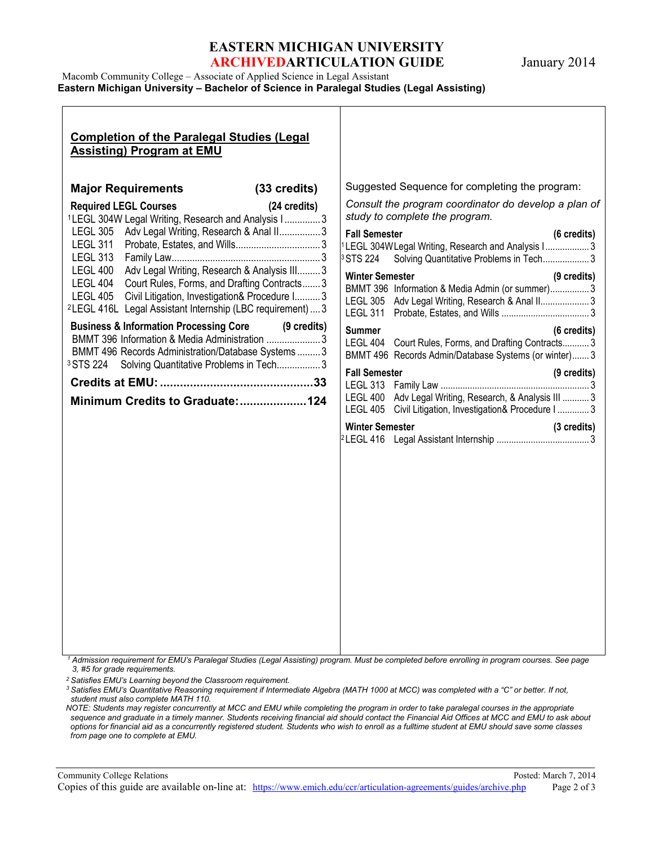# **EASTERN MICHIGAN UNIVERSITY ARCHIVEDARTICULATION GUIDE** January 2014

| Macomb Community College – Associate of Applied Science in Legal Assistant               |
|------------------------------------------------------------------------------------------|
| Eastern Michigan University – Bachelor of Science in Paralegal Studies (Legal Assisting) |
|                                                                                          |

## **Completion of the Paralegal Studies (Legal Assisting) Program at EMU Major Requirements (33 credits) Required LEGL Courses (24 credits)** <sup>1</sup> LEGL 304W Legal Writing, Research and Analysis I .............. 3 LEGL 305 Adv Legal Writing, Research & Anal II.................3 LEGL 311 Probate, Estates, and Wills................................. 3 LEGL 313 Family Law.......................................................... 3 LEGL 400 Adv Legal Writing, Research & Analysis III......... 3 LEGL 404 Court Rules, Forms, and Drafting Contracts....... 3 LEGL 405 Civil Litigation, Investigation& Procedure I.......... 3 <sup>2</sup> LEGL 416L Legal Assistant Internship (LBC requirement)....3 **Business & Information Processing Core (9 credits)** BMMT 396 Information & Media Administration ..................... 3 BMMT 496 Records Administration/Database Systems ......... 3 3STS 224 Solving Quantitative Problems in Tech................. 3 **Credits at EMU:..............................................33 Minimum Credits to Graduate:....................124** Suggested Sequence for completing the program: *Consult the program coordinator do develop a plan of study to complete the program.* **Fall Semester (6 credits)** LEGL 304WLegal Writing, Research and Analysis I....................3 STS 224 Solving Quantitative Problems in Tech....................3 **Winter Semester (9 credits)** BMMT 396 Information & Media Admin (or summer)................ 3 LEGL 305 Adv Legal Writing, Research & Anal II......................3 LEGL 311 Probate, Estates, and Wills .................................... 3 **Summer (6 credits)** LEGL 404 Court Rules, Forms, and Drafting Contracts........... 3 BMMT 496 Records Admin/Database Systems (or winter)....... 3 **Fall Semester (9 credits)** LEGL 313 Family Law ............................................................. 3 LEGL 400 Adv Legal Writing, Research, & Analysis III ........... 3 LEGL 405 Civil Litigation, Investigation& Procedure I ............. 3 **Winter Semester (3 credits)** <sup>2</sup> LEGL 416 Legal Assistant Internship ...................................... 3

*<sup>1</sup> Admission requirement for EMU's Paralegal Studies (Legal Assisting) program. Must be completed before enrolling in program courses. See page 3, #5 for grade requirements.*

*<sup>2</sup> Satisfies EMU's Learning beyond the Classroom requirement.*

*<sup>3</sup> Satisfies EMU's Quantitative Reasoning requirement if Intermediate Algebra (MATH 1000 at MCC) was completed with a "C" or better. If not, student must also complete MATH 110.*

*NOTE: Students may register concurrently at MCC and EMU while completing the program in order to take paralegal courses in the appropriate sequence and graduate in a timely manner. Students receiving financial aid should contact the Financial Aid Offices at MCC and EMU to ask about options for financial aid as a concurrently registered student. Students who wish to enroll as a fulltime student at EMU should save some classes from page one to complete at EMU.*